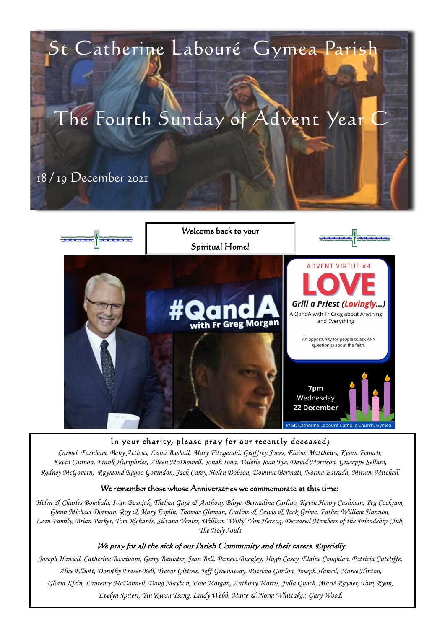

#### In your charity, please pray for our recently deceased;

*Carmel Farnham, Baby Atticus, Leoni Bashall, Mary Fitzgerald, Geoffrey Jones, Elaine Matthews, Kevin Fennell, Kevin Cannon, Frank Humphries, Aileen McDonnell, Jonah Iona, Valerie Joan Tye, David Morrison, Giuseppe Sellaro, Rodney McGovern, Raymond Ragoo Govindon, Jack Carey, Helen Dobson, Dominic Berinati, Norma Estrada, Miriam Mitchell.*

#### We remember those whose Anniversaries we commemorate at this time:

*Helen & Charles Bombala, Ivan Bosnjak, Thelma Gaye & Anthony Bloye, Bernadina Carlino, Kevin Henry Cashman, Peg Cockram, Glenn Michael Dorman, Roy & Mary Esplin, Thomas Ginman, Lurline & Lewis & Jack Grime, Father William Hannon, Lean Family, Brian Parker, Tom Richards, Silvano Venier, William 'Willy' Von Herzog, Deceased Members of the Friendship Club, The Holy Souls*

#### We pray for <u>all</u> the sick of our Parish Community and their carers. *Especially*:

*Joseph Hansell, Catherine Bassiuoni, Gerry Banister, Jean Bell, Pamela Buckley, Hugh Casey, Elaine Coughlan, Patricia Cutcliffe, Alice Elliott, Dorothy Fraser-Bell, Trevor Gittoes, Jeff Greenaway, Patricia Gordon, Joseph Hansel, Maree Hinton, Gloria Klein, Laurence McDonnell, Doug Maybon, Evie Morgan, Anthony Morris, Julia Quach, Marié Rayner, Tony Ryan, Evelyn Spiteri, Yin Kwan Tsang, Lindy Webb, Marie & Norm Whittaker, Gary Wood.*

## St Catherine Labouré Gymea Parish

# The Fourth Sunday of Advent Year C

18 / 19 December 2021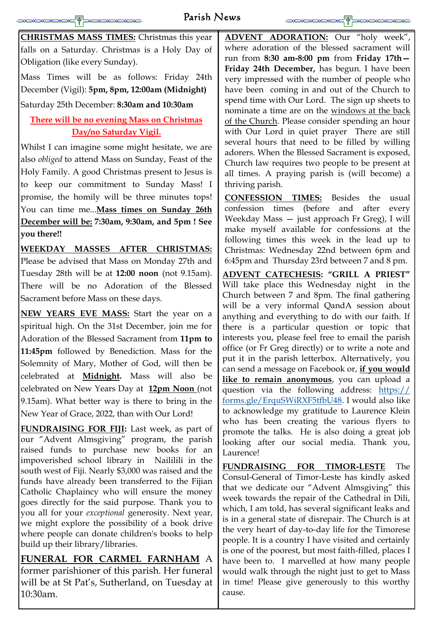## Parish News

**CHRISTMAS MASS TIMES:** Christmas this year falls on a Saturday. Christmas is a Holy Day of Obligation (like every Sunday).

Mass Times will be as follows: Friday 24th December (Vigil): **5pm, 8pm, 12:00am (Midnight)** Saturday 25th December: **8:30am and 10:30am** 

## **There will be no evening Mass on Christmas Day/no Saturday Vigil.**

Whilst I can imagine some might hesitate, we are also *obliged* to attend Mass on Sunday, Feast of the Holy Family. A good Christmas present to Jesus is to keep our commitment to Sunday Mass! I promise, the homily will be three minutes tops! You can time me...**Mass times on Sunday 26th December will be: 7:30am, 9:30am, and 5pm ! See you there!!**

**WEEKDAY MASSES AFTER CHRISTMAS:**  Please be advised that Mass on Monday 27th and Tuesday 28th will be at **12:00 noon** (not 9.15am). There will be no Adoration of the Blessed Sacrament before Mass on these days.

**NEW YEARS EVE MASS:** Start the year on a spiritual high. On the 31st December, join me for Adoration of the Blessed Sacrament from **11pm to 11:45pm** followed by Benediction. Mass for the Solemnity of Mary, Mother of God, will then be celebrated at **Midnight.** Mass will also be celebrated on New Years Day at **12pm Noon** (not 9.15am). What better way is there to bring in the New Year of Grace, 2022, than with Our Lord!

**FUNDRAISING FOR FIJI:** Last week, as part of our "Advent Almsgiving" program, the parish raised funds to purchase new books for an impoverished school library in Naililili in the south west of Fiji. Nearly \$3,000 was raised and the funds have already been transferred to the Fijian Catholic Chaplaincy who will ensure the money goes directly for the said purpose. Thank you to you all for your *exceptional* generosity. Next year, we might explore the possibility of a book drive where people can donate children's books to help build up their library/libraries.

## **FUNERAL FOR CARMEL FARNHAM** A former parishioner of this parish. Her funeral will be at St Pat's, Sutherland, on Tuesday at 10:30am.

**ADVENT ADORATION:** Our "holy week", where adoration of the blessed sacrament will run from **8:30 am-8:00 pm** from **Friday 17th— Friday 24th December,** has begun. I have been very impressed with the number of people who have been coming in and out of the Church to spend time with Our Lord. The sign up sheets to nominate a time are on the windows at the back of the Church. Please consider spending an hour with Our Lord in quiet prayer There are still several hours that need to be filled by willing adorers. When the Blessed Sacrament is exposed, Church law requires two people to be present at all times. A praying parish is (will become) a thriving parish.

 $\frac{1}{2}$ 

**CONFESSION TIMES:** Besides the usual confession times (before and after every Weekday Mass — just approach Fr Greg), I will make myself available for confessions at the following times this week in the lead up to Christmas: Wednesday 22nd between 6pm and 6:45pm and Thursday 23rd between 7 and 8 pm.

**ADVENT CATECHESIS: "GRILL A PRIEST"** Will take place this Wednesday night in the Church between 7 and 8pm. The final gathering will be a very informal QandA session about anything and everything to do with our faith. If there is a particular question or topic that interests you, please feel free to email the parish office (or Fr Greg directly) or to write a note and put it in the parish letterbox. Alternatively, you can send a message on Facebook or, **if you would like to remain anonymous**, you can upload a question via the following address: [https://](https://forms.gle/ErquSWiRXF5tfbU48) [forms.gle/ErquSWiRXF5tfbU48.](https://forms.gle/ErquSWiRXF5tfbU48) I would also like to acknowledge my gratitude to Laurence Klein who has been creating the various flyers to promote the talks. He is also doing a great job looking after our social media. Thank you, Laurence!

**FUNDRAISING FOR TIMOR-LESTE** The Consul-General of Timor-Leste has kindly asked that we dedicate our "Advent Almsgiving" this week towards the repair of the Cathedral in Dili, which, I am told, has several significant leaks and is in a general state of disrepair. The Church is at the very heart of day-to-day life for the Timorese people. It is a country I have visited and certainly is one of the poorest, but most faith-filled, places I have been to. I marvelled at how many people would walk through the night just to get to Mass in time! Please give generously to this worthy cause.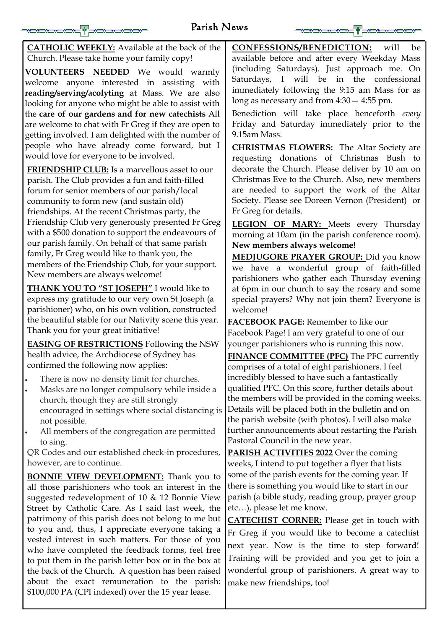## Parish News



**CATHOLIC WEEKLY:** Available at the back of the Church. Please take home your family copy!

**VOLUNTEERS NEEDED** We would warmly welcome anyone interested in assisting with **reading/serving/acolyting** at Mass. We are also looking for anyone who might be able to assist with the **care of our gardens and for new catechists** All are welcome to chat with Fr Greg if they are open to getting involved. I am delighted with the number of people who have already come forward, but I would love for everyone to be involved.

**FRIENDSHIP CLUB:** Is a marvellous asset to our parish. The Club provides a fun and faith-filled forum for senior members of our parish/local community to form new (and sustain old) friendships. At the recent Christmas party, the Friendship Club very generously presented Fr Greg with a \$500 donation to support the endeavours of our parish family. On behalf of that same parish family, Fr Greg would like to thank you, the members of the Friendship Club, for your support. New members are always welcome!

**THANK YOU TO "ST JOSEPH"** I would like to express my gratitude to our very own St Joseph (a parishioner) who, on his own volition, constructed the beautiful stable for our Nativity scene this year. Thank you for your great initiative!

**EASING OF RESTRICTIONS** Following the NSW health advice, the Archdiocese of Sydney has confirmed the following now applies:

- There is now no density limit for churches.
- Masks are no longer compulsory while inside a church, though they are still strongly encouraged in settings where social distancing is not possible.
- All members of the congregation are permitted to sing.

QR Codes and our established check-in procedures, however, are to continue.

**CONFESSIONS/BENEDICTION:** will be available before and after every Weekday Mass (including Saturdays). Just approach me. On Saturdays, I will be in the confessional immediately following the 9:15 am Mass for as long as necessary and from 4:30— 4:55 pm.

Benediction will take place henceforth *every* Friday and Saturday immediately prior to the 9.15am Mass.

**CHRISTMAS FLOWERS:** The Altar Society are requesting donations of Christmas Bush to decorate the Church. Please deliver by 10 am on Christmas Eve to the Church. Also, new members are needed to support the work of the Altar Society. Please see Doreen Vernon (President) or Fr Greg for details.

**LEGION OF MARY:** Meets every Thursday morning at 10am (in the parish conference room). **New members always welcome!** 

**BONNIE VIEW DEVELOPMENT:** Thank you to all those parishioners who took an interest in the suggested redevelopment of 10 & 12 Bonnie View Street by Catholic Care. As I said last week, the patrimony of this parish does not belong to me but to you and, thus, I appreciate everyone taking a vested interest in such matters. For those of you who have completed the feedback forms, feel free to put them in the parish letter box or in the box at the back of the Church. A question has been raised about the exact remuneration to the parish: \$100,000 PA (CPI indexed) over the 15 year lease. **PARISH ACTIVITIES 2022** Over the coming weeks, I intend to put together a flyer that lists some of the parish events for the coming year. If there is something you would like to start in our parish (a bible study, reading group, prayer group etc…), please let me know. **CATECHIST CORNER:** Please get in touch with Fr Greg if you would like to become a catechist next year. Now is the time to step forward! Training will be provided and you get to join a wonderful group of parishioners. A great way to make new friendships, too!

**MEDJUGORE PRAYER GROUP:** Did you know we have a wonderful group of faith-filled parishioners who gather each Thursday evening at 6pm in our church to say the rosary and some special prayers? Why not join them? Everyone is welcome!

**FACEBOOK PAGE:** Remember to like our Facebook Page! I am very grateful to one of our younger parishioners who is running this now.

**FINANCE COMMITTEE (PFC)** The PFC currently comprises of a total of eight parishioners. I feel incredibly blessed to have such a fantastically qualified PFC. On this score, further details about the members will be provided in the coming weeks. Details will be placed both in the bulletin and on the parish website (with photos). I will also make further announcements about restarting the Parish Pastoral Council in the new year.